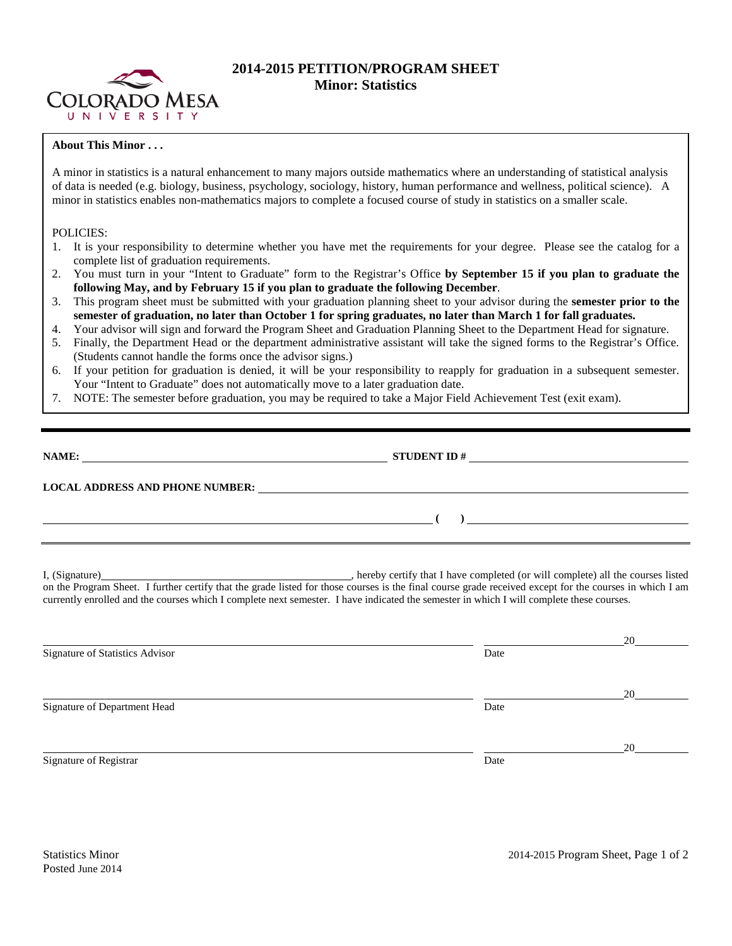

## **2014-2015 PETITION/PROGRAM SHEET Minor: Statistics**

## **About This Minor . . .**

A minor in statistics is a natural enhancement to many majors outside mathematics where an understanding of statistical analysis of data is needed (e.g. biology, business, psychology, sociology, history, human performance and wellness, political science). A minor in statistics enables non-mathematics majors to complete a focused course of study in statistics on a smaller scale.

## POLICIES:

- 1. It is your responsibility to determine whether you have met the requirements for your degree. Please see the catalog for a complete list of graduation requirements.
- 2. You must turn in your "Intent to Graduate" form to the Registrar's Office **by September 15 if you plan to graduate the following May, and by February 15 if you plan to graduate the following December**.
- 3. This program sheet must be submitted with your graduation planning sheet to your advisor during the **semester prior to the semester of graduation, no later than October 1 for spring graduates, no later than March 1 for fall graduates.**
- 4. Your advisor will sign and forward the Program Sheet and Graduation Planning Sheet to the Department Head for signature.
- 5. Finally, the Department Head or the department administrative assistant will take the signed forms to the Registrar's Office. (Students cannot handle the forms once the advisor signs.)
- 6. If your petition for graduation is denied, it will be your responsibility to reapply for graduation in a subsequent semester. Your "Intent to Graduate" does not automatically move to a later graduation date.
- 7. NOTE: The semester before graduation, you may be required to take a Major Field Achievement Test (exit exam).

| NAME:                                  | <b>STUDENT ID#</b><br><u> 1980 - Jan Stein Stein Stein Stein Stein Stein Stein Stein Stein Stein Stein Stein Stein Stein Stein Stein S</u> |
|----------------------------------------|--------------------------------------------------------------------------------------------------------------------------------------------|
| <b>LOCAL ADDRESS AND PHONE NUMBER:</b> | <u> 1980 - Jan Samuel Barbara, margaret eta idazlea (h. 1980).</u>                                                                         |
|                                        |                                                                                                                                            |

I, (Signature) **Solution** , hereby certify that I have completed (or will complete) all the courses listed on the Program Sheet. I further certify that the grade listed for those courses is the final course grade received except for the courses in which I am currently enrolled and the courses which I complete next semester. I have indicated the semester in which I will complete these courses.

|      | 20 |
|------|----|
| Date |    |
|      |    |
|      | 20 |
| Date |    |
|      |    |
|      | 20 |
| Date |    |
|      |    |